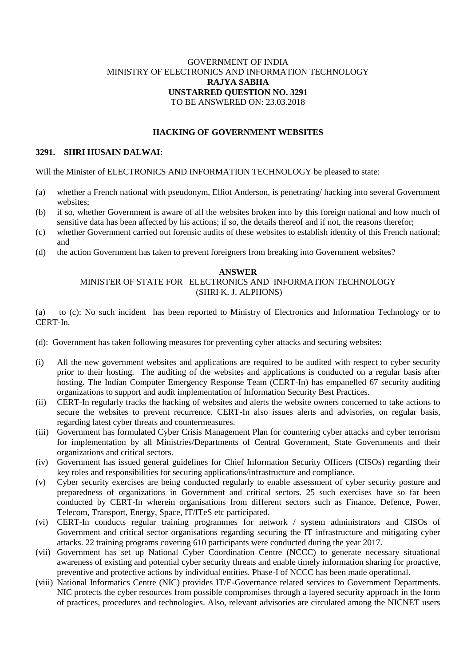# GOVERNMENT OF INDIA MINISTRY OF ELECTRONICS AND INFORMATION TECHNOLOGY **RAJYA SABHA UNSTARRED QUESTION NO. 3291** TO BE ANSWERED ON: 23.03.2018

## **HACKING OF GOVERNMENT WEBSITES**

### **3291. SHRI HUSAIN DALWAI:**

Will the Minister of ELECTRONICS AND INFORMATION TECHNOLOGY be pleased to state:

- (a) whether a French national with pseudonym, Elliot Anderson, is penetrating/ hacking into several Government websites;
- (b) if so, whether Government is aware of all the websites broken into by this foreign national and how much of sensitive data has been affected by his actions; if so, the details thereof and if not, the reasons therefor;
- (c) whether Government carried out forensic audits of these websites to establish identity of this French national; and
- (d) the action Government has taken to prevent foreigners from breaking into Government websites?

#### **ANSWER**

## MINISTER OF STATE FOR ELECTRONICS AND INFORMATION TECHNOLOGY (SHRI K. J. ALPHONS)

(a) to (c): No such incident has been reported to Ministry of Electronics and Information Technology or to CERT-In.

- (d): Government has taken following measures for preventing cyber attacks and securing websites:
- (i) All the new government websites and applications are required to be audited with respect to cyber security prior to their hosting. The auditing of the websites and applications is conducted on a regular basis after hosting. The Indian Computer Emergency Response Team (CERT-In) has empanelled 67 security auditing organizations to support and audit implementation of Information Security Best Practices.
- (ii) CERT-In regularly tracks the hacking of websites and alerts the website owners concerned to take actions to secure the websites to prevent recurrence. CERT-In also issues alerts and advisories, on regular basis, regarding latest cyber threats and countermeasures.
- (iii) Government has formulated Cyber Crisis Management Plan for countering cyber attacks and cyber terrorism for implementation by all Ministries/Departments of Central Government, State Governments and their organizations and critical sectors.
- (iv) Government has issued general guidelines for Chief Information Security Officers (CISOs) regarding their key roles and responsibilities for securing applications/infrastructure and compliance.
- (v) Cyber security exercises are being conducted regularly to enable assessment of cyber security posture and preparedness of organizations in Government and critical sectors. 25 such exercises have so far been conducted by CERT-In wherein organisations from different sectors such as Finance, Defence, Power, Telecom, Transport, Energy, Space, IT/ITeS etc participated.
- (vi) CERT-In conducts regular training programmes for network / system administrators and CISOs of Government and critical sector organisations regarding securing the IT infrastructure and mitigating cyber attacks. 22 training programs covering 610 participants were conducted during the year 2017.
- (vii) Government has set up National Cyber Coordination Centre (NCCC) to generate necessary situational awareness of existing and potential cyber security threats and enable timely information sharing for proactive, preventive and protective actions by individual entities. Phase-I of NCCC has been made operational.
- (viii) National Informatics Centre (NIC) provides IT/E-Governance related services to Government Departments. NIC protects the cyber resources from possible compromises through a layered security approach in the form of practices, procedures and technologies. Also, relevant advisories are circulated among the NICNET users